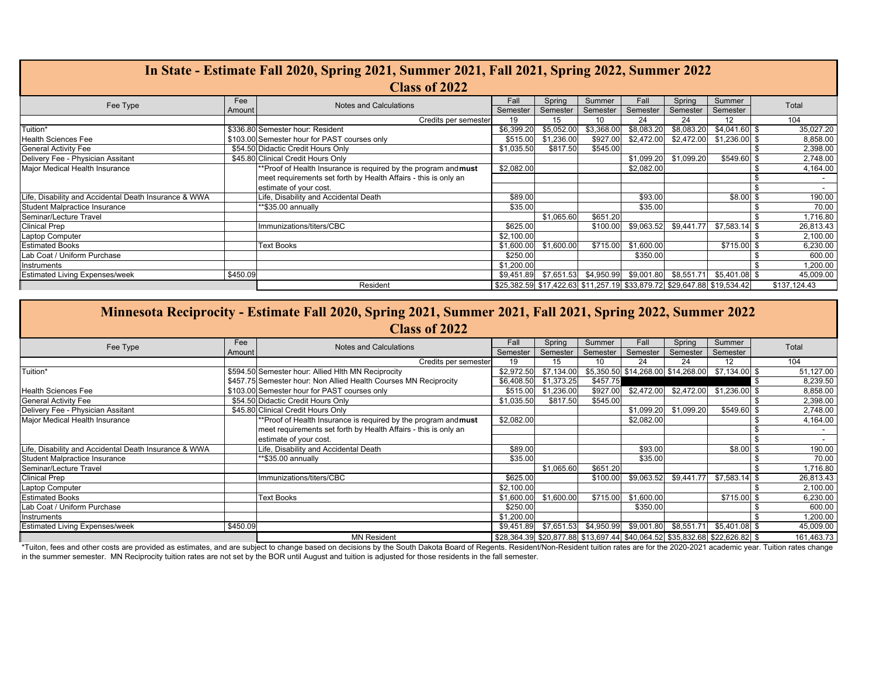| In State - Estimate Fall 2020, Spring 2021, Summer 2021, Fall 2021, Spring 2022, Summer 2022 |          |                                                                 |            |            |                                                                         |            |            |                |              |           |
|----------------------------------------------------------------------------------------------|----------|-----------------------------------------------------------------|------------|------------|-------------------------------------------------------------------------|------------|------------|----------------|--------------|-----------|
| <b>Class of 2022</b>                                                                         |          |                                                                 |            |            |                                                                         |            |            |                |              |           |
| Fee Type                                                                                     | Fee      | <b>Notes and Calculations</b>                                   | Fall       | Spring     | Summer                                                                  | Fall       | Spring     | Summer         | Total        |           |
|                                                                                              | Amount   |                                                                 | Semester   | Semester   | Semester                                                                | Semester   | Semester   | Semester       |              |           |
|                                                                                              |          | Credits per semester                                            | 19         | 15         | 10                                                                      | 24         | 24         | 12             | 104          |           |
| Tuition*                                                                                     |          | \$336.80 Semester hour: Resident                                | \$6,399.20 | \$5,052.00 | \$3,368.00                                                              | \$8,083.20 | \$8,083.20 | $$4,041.60$ \$ |              | 35,027.20 |
| <b>Health Sciences Fee</b>                                                                   |          | \$103.00 Semester hour for PAST courses only                    | \$515.00   | \$1,236.00 | \$927.00                                                                | \$2,472.00 | \$2,472.00 | $$1,236.00$ \$ |              | 8,858.00  |
| <b>General Activity Fee</b>                                                                  |          | \$54.50 Didactic Credit Hours Only                              | \$1,035.50 | \$817.50   | \$545.00                                                                |            |            |                |              | 2,398.00  |
| Delivery Fee - Physician Assitant                                                            |          | \$45.80 Clinical Credit Hours Only                              |            |            |                                                                         | \$1,099.20 | \$1,099.20 | \$549.60 \$    |              | 2,748.00  |
| Major Medical Health Insurance                                                               |          | **Proof of Health Insurance is required by the program and must | \$2,082.00 |            |                                                                         | \$2,082.00 |            |                |              | 4,164.00  |
|                                                                                              |          | meet requirements set forth by Health Affairs - this is only an |            |            |                                                                         |            |            |                |              | $\sim$    |
|                                                                                              |          | estimate of your cost.                                          |            |            |                                                                         |            |            |                |              |           |
| Life, Disability and Accidental Death Insurance & WWA                                        |          | Life, Disability and Accidental Death                           | \$89.00    |            |                                                                         | \$93.00    |            | $$8.00$$ \$    |              | 190.00    |
| Student Malpractice Insurance                                                                |          | **\$35.00 annually                                              | \$35.00    |            |                                                                         | \$35.00    |            |                |              | 70.00     |
| Seminar/Lecture Travel                                                                       |          |                                                                 |            | \$1,065.60 | \$651.20                                                                |            |            |                |              | 1,716.80  |
| <b>Clinical Prep</b>                                                                         |          | Immunizations/titers/CBC                                        | \$625.00   |            | \$100.00                                                                | \$9,063.52 | \$9,441.77 | $$7,583.14$ \$ |              | 26,813.43 |
| Laptop Computer                                                                              |          |                                                                 | \$2,100.00 |            |                                                                         |            |            |                |              | 2,100.00  |
| <b>Estimated Books</b>                                                                       |          | <b>Text Books</b>                                               | \$1,600.00 | \$1,600.00 | \$715.00                                                                | \$1,600.00 |            | \$715.00 \$    |              | 6,230.00  |
| Lab Coat / Uniform Purchase                                                                  |          |                                                                 | \$250.00   |            |                                                                         | \$350.00   |            |                |              | 600.00    |
| Instruments                                                                                  |          |                                                                 | \$1,200.00 |            |                                                                         |            |            |                |              | 1,200.00  |
| <b>Estimated Living Expenses/week</b>                                                        | \$450.09 |                                                                 |            |            | \$9,451.89 \$7,651.53 \$4,950.99 \$9,001.80 \$8,551.71                  |            |            | $$5,401.08$ \$ |              | 45,009.00 |
|                                                                                              |          | Resident                                                        |            |            | \$25,382.59 \$17,422.63 \$11,257.19 \$33,879.72 \$29,647.88 \$19,534.42 |            |            |                | \$137.124.43 |           |

| Minnesota Reciprocity - Estimate Fall 2020, Spring 2021, Summer 2021, Fall 2021, Spring 2022, Summer 2022 |          |                                                                  |            |            |          |            |            |                                                                            |      |            |
|-----------------------------------------------------------------------------------------------------------|----------|------------------------------------------------------------------|------------|------------|----------|------------|------------|----------------------------------------------------------------------------|------|------------|
| <b>Class of 2022</b>                                                                                      |          |                                                                  |            |            |          |            |            |                                                                            |      |            |
| Fee Type                                                                                                  | Fee      | Notes and Calculations                                           | Fall       | Spring     | Summer   | Fall       | Spring     | Summer                                                                     |      | Total      |
|                                                                                                           | Amount   |                                                                  | Semester   | Semester   | Semester | Semester   | Semester   | Semester                                                                   |      |            |
|                                                                                                           |          | Credits per semester                                             | 19         | 15         | 10       | 24         | 24         | 12                                                                         |      | 104        |
| Tuition*                                                                                                  |          | \$594.50 Semester hour: Allied Hith MN Reciprocity               | \$2,972.50 | \$7,134.00 |          |            |            | \$5,350.50 \$14,268.00 \$14,268.00 \$7,134.00 \$                           |      | 51,127.00  |
|                                                                                                           |          | \$457.75 Semester hour: Non Allied Health Courses MN Reciprocity | \$6,408.50 | \$1,373.25 | \$457.75 |            |            |                                                                            | - \$ | 8,239.50   |
| Health Sciences Fee                                                                                       |          | \$103.00 Semester hour for PAST courses only                     | \$515.00   | \$1,236.00 |          |            |            | \$927.00 \$2,472.00 \$2,472.00 \$1,236.00 \$                               |      | 8,858.00   |
| <b>General Activity Fee</b>                                                                               |          | \$54.50 Didactic Credit Hours Only                               | \$1,035.50 | \$817.50   | \$545.00 |            |            |                                                                            |      | 2,398.00   |
| Delivery Fee - Physician Assitant                                                                         |          | \$45.80 Clinical Credit Hours Only                               |            |            |          | \$1,099.20 | \$1,099.20 | \$549.60 \$                                                                |      | 2,748.00   |
| Major Medical Health Insurance                                                                            |          | **Proof of Health Insurance is required by the program and must  | \$2,082.00 |            |          | \$2,082.00 |            |                                                                            |      | 4,164.00   |
|                                                                                                           |          | meet requirements set forth by Health Affairs - this is only an  |            |            |          |            |            |                                                                            |      |            |
|                                                                                                           |          | estimate of your cost.                                           |            |            |          |            |            |                                                                            |      | $\sim$     |
| Life, Disability and Accidental Death Insurance & WWA                                                     |          | Life, Disability and Accidental Death                            | \$89.00    |            |          | \$93.00    |            | \$8.00                                                                     |      | 190.00     |
| Student Malpractice Insurance                                                                             |          | **\$35.00 annually                                               | \$35.00    |            |          | \$35.00    |            |                                                                            |      | 70.00      |
| Seminar/Lecture Travel                                                                                    |          |                                                                  |            | \$1,065.60 | \$651.20 |            |            |                                                                            |      | 1,716.80   |
| <b>Clinical Prep</b>                                                                                      |          | Immunizations/titers/CBC                                         | \$625.00   |            | \$100.00 | \$9,063.52 | \$9,441.77 | $$7,583.14$ \$                                                             |      | 26,813.43  |
| Laptop Computer                                                                                           |          |                                                                  | \$2,100.00 |            |          |            |            |                                                                            |      | 2,100.00   |
| <b>Estimated Books</b>                                                                                    |          | <b>Text Books</b>                                                | \$1,600.00 | \$1,600.00 | \$715.00 | \$1,600.00 |            | \$715.00                                                                   |      | 6,230.00   |
| Lab Coat / Uniform Purchase                                                                               |          |                                                                  | \$250.00   |            |          | \$350.00   |            |                                                                            |      | 600.00     |
| Instruments                                                                                               |          |                                                                  | \$1,200.00 |            |          |            |            |                                                                            |      | 1,200.00   |
| <b>Estimated Living Expenses/week</b>                                                                     | \$450.09 |                                                                  |            |            |          |            |            | \$9,451.89 \$7,651.53 \$4,950.99 \$9,001.80 \$8,551.71 \$5,401.08 \$       |      | 45,009.00  |
|                                                                                                           |          | <b>MN Resident</b>                                               |            |            |          |            |            | \$28,364.39 \$20,877.88 \$13,697.44 \$40,064.52 \$35,832.68 \$22,626.82 \$ |      | 161,463.73 |

\*Tuiton, fees and other costs are provided as estimates, and are subject to change based on decisions by the South Dakota Board of Regents. Resident/Non-Resident fuition rates are for the 2020-2021 academic year. Tuition r in the summer semester. MN Reciprocity tuition rates are not set by the BOR until August and tuition is adjusted for those residents in the fall semester.